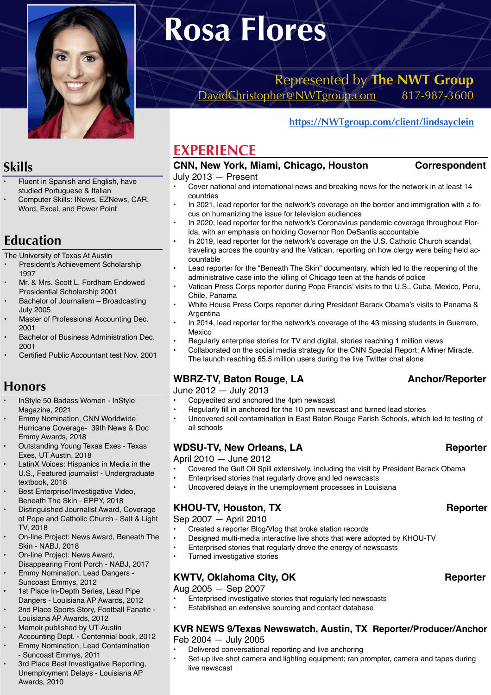

# **Rosa Flores**

Represented by **The NWT Group**  [DavidChristopher@NWTgroup.com](mailto:DavidChristopher@NWTgroup.com) 817-987-3600

#### **<https://NWTgroup.com/client/lindsayclein>**

# **EXPERIENCE**

# **CNN, New York, Miami, Chicago, Houston Correspondent**

#### July 2013 — Present

- Cover national and international news and breaking news for the network in at least 14 countries
- In 2021, lead reporter for the network's coverage on the border and immigration with a focus on humanizing the issue for television audiences
- In 2020, lead reporter for the network's Coronavirus pandemic coverage throughout Florida, with an emphasis on holding Governor Ron DeSantis accountable
- In 2019, lead reporter for the network's coverage on the U.S. Catholic Church scandal, traveling across the country and the Vatican, reporting on how clergy were being held accountable
- Lead reporter for the "Beneath The Skin" documentary, which led to the reopening of the administrative case into the killing of Chicago teen at the hands of police
- Vatican Press Corps reporter during Pope Francis' visits to the U.S., Cuba, Mexico, Peru, Chile, Panama
- White House Press Corps reporter during President Barack Obama's visits to Panama & Argentina
- In 2014, lead reporter for the network's coverage of the 43 missing students in Guerrero, Mexico
- Regularly enterprise stories for TV and digital, stories reaching 1 million views
- Collaborated on the social media strategy for the CNN Special Report: A Miner Miracle. The launch reaching 65.5 million users during the live Twitter chat alone

#### WBRZ-TV, Baton Rouge, LA **Anchor/Reporter**

June 2012 — July 2013

- Copyedited and anchored the 4pm newscast
- Regularly fill in anchored for the 10 pm newscast and turned lead stories
- Uncovered soil contamination in East Baton Rouge Parish Schools, which led to testing of all schools

#### WDSU-TV, New Orleans, LA Reporter

April 2010 — June 2012

- Covered the Gulf Oil Spill extensively, including the visit by President Barack Obama
- Enterprised stories that regularly drove and led newscasts<br>• Il provered delays in the unemployment processes in Louis
- Uncovered delays in the unemployment processes in Louisiana

#### KHOU-TV, Houston, TX **Reporter**

Sep 2007 — April 2010

- Created a reporter Blog/Vlog that broke station records<br>• Designed multi-media interactive live shots that were ad
- Designed multi-media interactive live shots that were adopted by KHOU-TV
- Enterprised stories that regularly drove the energy of newscasts
- Turned investigative stories

#### KWTV, Oklahoma City, OK **Reporter**

Aug 2005 — Sep 2007

- Enterprised investigative stories that regularly led newscasts
- Established an extensive sourcing and contact database

#### **KVR NEWS 9/Texas Newswatch, Austin, TX Reporter/Producer/Anchor**  Feb 2004 — July 2005

- Delivered conversational reporting and live anchoring
- Set-up live-shot camera and lighting equipment; ran prompter, camera and tapes during live newscast

# **Skills**

- Fluent in Spanish and English, have studied Portuguese & Italian
- Computer Skills: INews, EZNews, CAR, Word, Excel, and Power Point

# **Education**

The University of Texas At Austin

- President's Achievement Scholarship 1997
- Mr. & Mrs. Scott L. Fordham Endowed Presidential Scholarship 2001
- Bachelor of Journalism Broadcasting July 2005
- Master of Professional Accounting Dec. 2001
- Bachelor of Business Administration Dec. 2001
- Certified Public Accountant test Nov. 2001

### **Honors**

- InStyle 50 Badass Women InStyle Magazine, 2021
- Emmy Nomination, CNN Worldwide Hurricane Coverage- 39th News & Doc Emmy Awards, 2018
- Outstanding Young Texas Exes Texas Exes, UT Austin, 2018
- LatinX Voices: Hispanics in Media in the U.S., Featured journalist - Undergraduate textbook, 2018
- Best Enterprise/Investigative Video, Beneath The Skin - EPPY, 2018
- Distinguished Journalist Award, Coverage of Pope and Catholic Church - Salt & Light TV, 2018
- On-line Project: News Award, Beneath The Skin - NABJ, 2018
- On-line Project: News Award,
- Disappearing Front Porch NABJ, 2017 • Emmy Nomination, Lead Dangers -
- Suncoast Emmys, 2012 1st Place In-Depth Series, Lead Pipe Dangers - Louisiana AP Awards, 2012
- 2nd Place Sports Story, Football Fanatic Louisiana AP Awards, 2012
- Memoir published by UT-Austin
- Accounting Dept. Centennial book, 2012 • Emmy Nomination, Lead Contamination - Suncoast Emmys, 2011
- 3rd Place Best Investigative Reporting, Unemployment Delays - Louisiana AP Awards, 2010